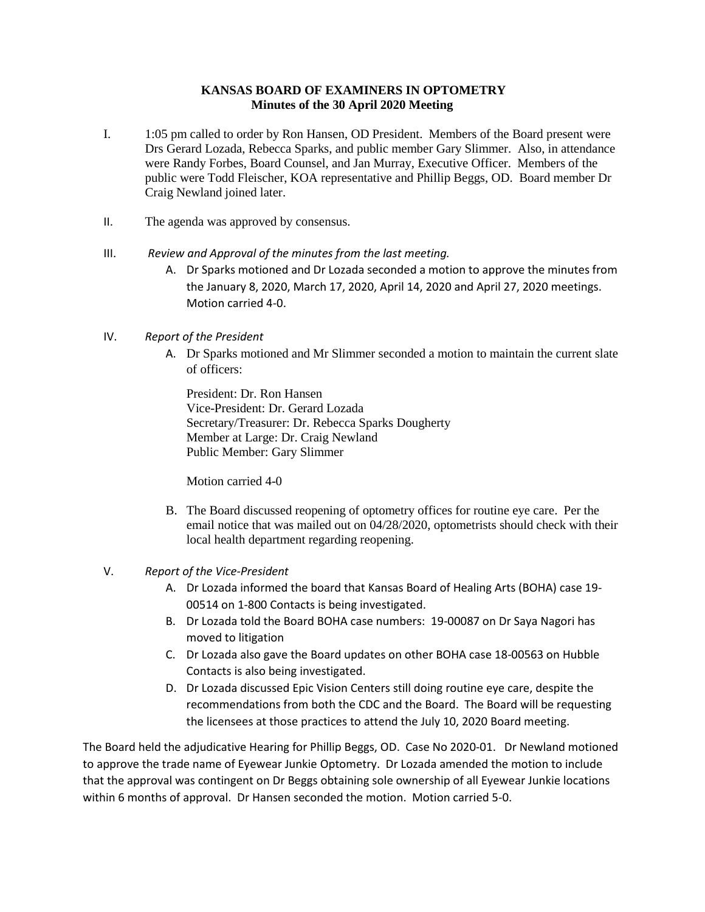## **KANSAS BOARD OF EXAMINERS IN OPTOMETRY Minutes of the 30 April 2020 Meeting**

- I. 1:05 pm called to order by Ron Hansen, OD President. Members of the Board present were Drs Gerard Lozada, Rebecca Sparks, and public member Gary Slimmer. Also, in attendance were Randy Forbes, Board Counsel, and Jan Murray, Executive Officer. Members of the public were Todd Fleischer, KOA representative and Phillip Beggs, OD. Board member Dr Craig Newland joined later.
- II. The agenda was approved by consensus.
- III. *Review and Approval of the minutes from the last meeting.*
	- A. Dr Sparks motioned and Dr Lozada seconded a motion to approve the minutes from the January 8, 2020, March 17, 2020, April 14, 2020 and April 27, 2020 meetings. Motion carried 4-0.

## IV. *Report of the President*

A. Dr Sparks motioned and Mr Slimmer seconded a motion to maintain the current slate of officers:

President: Dr. Ron Hansen Vice-President: Dr. Gerard Lozada Secretary/Treasurer: Dr. Rebecca Sparks Dougherty Member at Large: Dr. Craig Newland Public Member: Gary Slimmer

Motion carried 4-0

B. The Board discussed reopening of optometry offices for routine eye care. Per the email notice that was mailed out on 04/28/2020, optometrists should check with their local health department regarding reopening.

## V. *Report of the Vice-President*

- A. Dr Lozada informed the board that Kansas Board of Healing Arts (BOHA) case 19- 00514 on 1-800 Contacts is being investigated.
- B. Dr Lozada told the Board BOHA case numbers: 19-00087 on Dr Saya Nagori has moved to litigation
- C. Dr Lozada also gave the Board updates on other BOHA case 18-00563 on Hubble Contacts is also being investigated.
- D. Dr Lozada discussed Epic Vision Centers still doing routine eye care, despite the recommendations from both the CDC and the Board. The Board will be requesting the licensees at those practices to attend the July 10, 2020 Board meeting.

The Board held the adjudicative Hearing for Phillip Beggs, OD. Case No 2020-01. Dr Newland motioned to approve the trade name of Eyewear Junkie Optometry. Dr Lozada amended the motion to include that the approval was contingent on Dr Beggs obtaining sole ownership of all Eyewear Junkie locations within 6 months of approval. Dr Hansen seconded the motion. Motion carried 5-0.